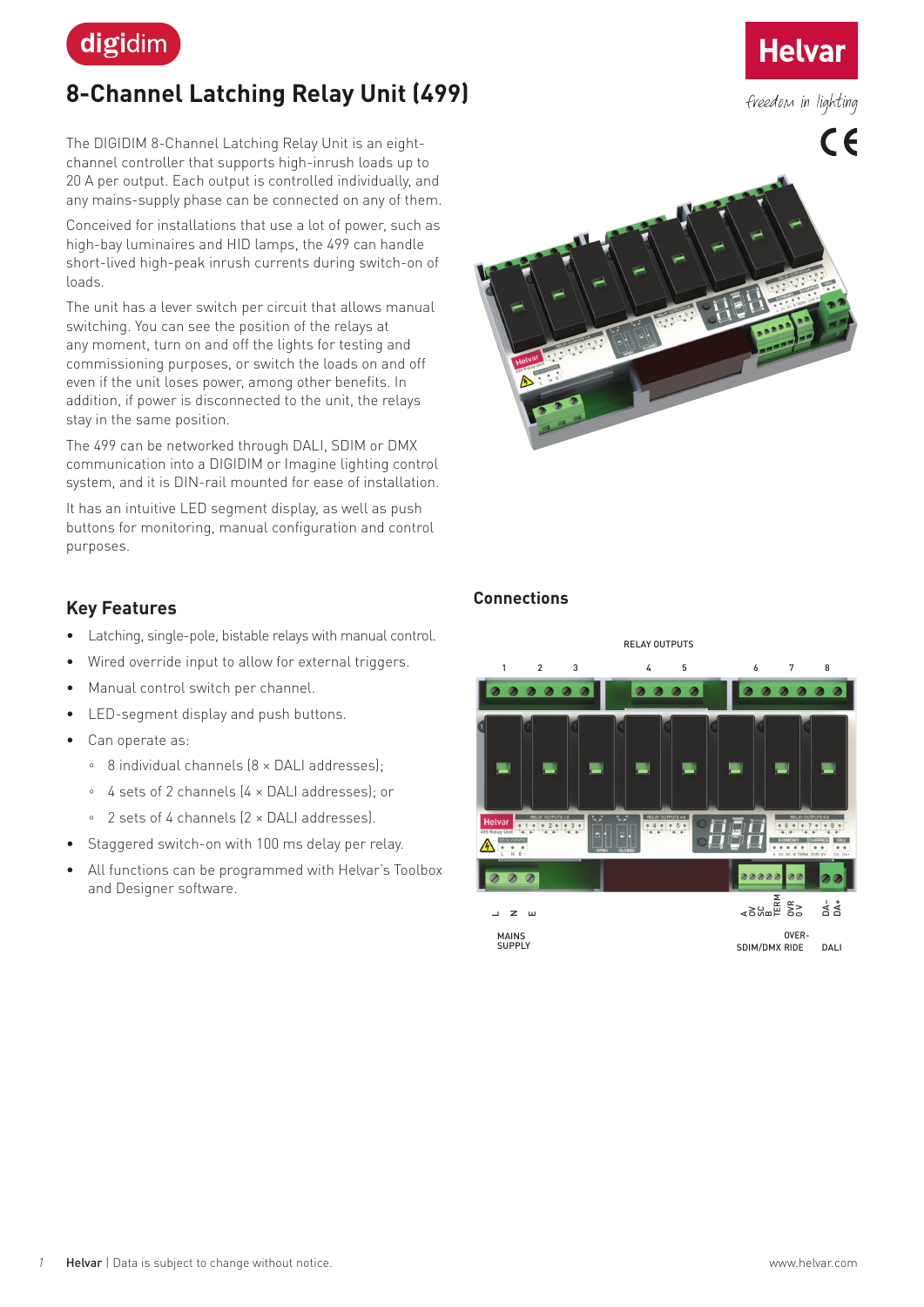

# **8-Channel Latching Relay Unit (499)**

The DIGIDIM 8-Channel Latching Relay Unit is an eightchannel controller that supports high-inrush loads up to 20 A per output. Each output is controlled individually, and any mains-supply phase can be connected on any of them.

Conceived for installations that use a lot of power, such as high-bay luminaires and HID lamps, the 499 can handle short-lived high-peak inrush currents during switch-on of loads.

The unit has a lever switch per circuit that allows manual switching. You can see the position of the relays at any moment, turn on and off the lights for testing and commissioning purposes, or switch the loads on and off even if the unit loses power, among other benefits. In addition, if power is disconnected to the unit, the relays stay in the same position.

The 499 can be networked through DALI, SDIM or DMX communication into a DIGIDIM or Imagine lighting control system, and it is DIN-rail mounted for ease of installation.

It has an intuitive LED segment display, as well as push buttons for monitoring, manual configuration and control purposes.

#### **Key Features**

- Latching, single-pole, bistable relays with manual control.
- Wired override input to allow for external triggers.
- Manual control switch per channel.
- LED-segment display and push buttons.
- Can operate as:
	- 8 individual channels (8 × DALI addresses);
	- 4 sets of 2 channels (4 × DALI addresses); or
	- 2 sets of 4 channels (2 × DALI addresses).
- Staggered switch-on with 100 ms delay per relay.
- All functions can be programmed with Helvar's Toolbox and Designer software.



**Helvar** 

freedom in lighting

#### **Connections**